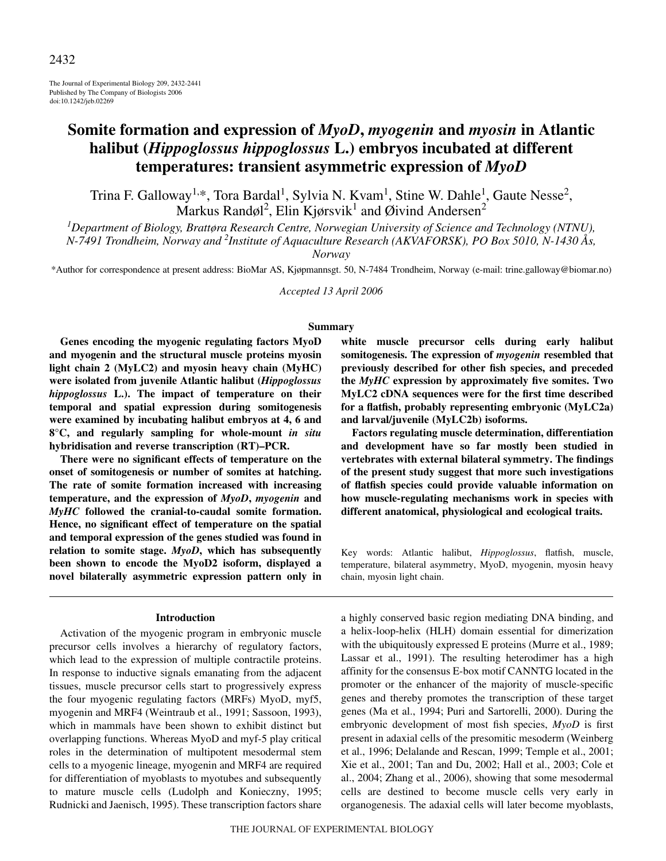The Journal of Experimental Biology 209, 2432-2441 Published by The Company of Biologists 2006 doi:10.1242/jeb.02269

# **Somite formation and expression of** *MyoD***,** *myogenin* **and** *myosin* **in Atlantic halibut (***Hippoglossus hippoglossus* **L.) embryos incubated at different temperatures: transient asymmetric expression of** *MyoD*

Trina F. Galloway<sup>1,\*</sup>, Tora Bardal<sup>1</sup>, Sylvia N. Kvam<sup>1</sup>, Stine W. Dahle<sup>1</sup>, Gaute Nesse<sup>2</sup>, Markus Randøl<sup>2</sup>, Elin Kjørsvik<sup>1</sup> and Øivind Andersen<sup>2</sup>

*1 Department of Biology, Brattøra Research Centre, Norwegian University of Science and Technology (NTNU),*

*N-7491 Trondheim, Norway and 2 Institute of Aquaculture Research (AKVAFORSK), PO Box 5010, N-1430 Ås,*

*Norway*

\*Author for correspondence at present address: BioMar AS, Kjøpmannsgt. 50, N-7484 Trondheim, Norway (e-mail: trine.galloway@biomar.no)

*Accepted 13 April 2006*

#### **Summary**

**Genes encoding the myogenic regulating factors MyoD and myogenin and the structural muscle proteins myosin light chain 2 (MyLC2) and myosin heavy chain (MyHC) were isolated from juvenile Atlantic halibut (***Hippoglossus hippoglossus* **L.). The impact of temperature on their temporal and spatial expression during somitogenesis were examined by incubating halibut embryos at 4, 6 and 8°C, and regularly sampling for whole-mount** *in situ* **hybridisation and reverse transcription (RT)–PCR.**

**There were no significant effects of temperature on the onset of somitogenesis or number of somites at hatching. The rate of somite formation increased with increasing temperature, and the expression of** *MyoD***,** *myogenin* **and** *MyHC* **followed the cranial-to-caudal somite formation. Hence, no significant effect of temperature on the spatial and temporal expression of the genes studied was found in relation to somite stage.** *MyoD***, which has subsequently been shown to encode the MyoD2 isoform, displayed a novel bilaterally asymmetric expression pattern only in**

#### **Introduction**

Activation of the myogenic program in embryonic muscle precursor cells involves a hierarchy of regulatory factors, which lead to the expression of multiple contractile proteins. In response to inductive signals emanating from the adjacent tissues, muscle precursor cells start to progressively express the four myogenic regulating factors (MRFs) MyoD, myf5, myogenin and MRF4 (Weintraub et al., 1991; Sassoon, 1993), which in mammals have been shown to exhibit distinct but overlapping functions. Whereas MyoD and myf-5 play critical roles in the determination of multipotent mesodermal stem cells to a myogenic lineage, myogenin and MRF4 are required for differentiation of myoblasts to myotubes and subsequently to mature muscle cells (Ludolph and Konieczny, 1995; Rudnicki and Jaenisch, 1995). These transcription factors share

**white muscle precursor cells during early halibut somitogenesis. The expression of** *myogenin* **resembled that previously described for other fish species, and preceded the** *MyHC* **expression by approximately five somites. Two MyLC2 cDNA sequences were for the first time described for a flatfish, probably representing embryonic (MyLC2a) and larval/juvenile (MyLC2b) isoforms.**

**Factors regulating muscle determination, differentiation and development have so far mostly been studied in vertebrates with external bilateral symmetry. The findings of the present study suggest that more such investigations of flatfish species could provide valuable information on how muscle-regulating mechanisms work in species with different anatomical, physiological and ecological traits.**

Key words: Atlantic halibut, *Hippoglossus*, flatfish, muscle, temperature, bilateral asymmetry, MyoD, myogenin, myosin heavy chain, myosin light chain.

a highly conserved basic region mediating DNA binding, and a helix-loop-helix (HLH) domain essential for dimerization with the ubiquitously expressed E proteins (Murre et al., 1989; Lassar et al., 1991). The resulting heterodimer has a high affinity for the consensus E-box motif CANNTG located in the promoter or the enhancer of the majority of muscle-specific genes and thereby promotes the transcription of these target genes (Ma et al., 1994; Puri and Sartorelli, 2000). During the embryonic development of most fish species, *MyoD* is first present in adaxial cells of the presomitic mesoderm (Weinberg et al., 1996; Delalande and Rescan, 1999; Temple et al., 2001; Xie et al., 2001; Tan and Du, 2002; Hall et al., 2003; Cole et al., 2004; Zhang et al., 2006), showing that some mesodermal cells are destined to become muscle cells very early in organogenesis. The adaxial cells will later become myoblasts,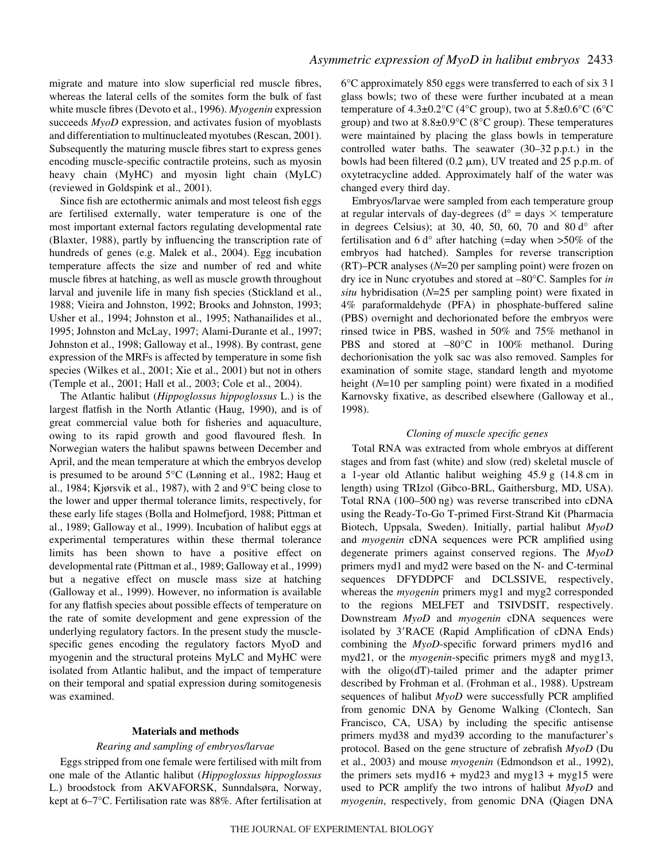migrate and mature into slow superficial red muscle fibres, whereas the lateral cells of the somites form the bulk of fast white muscle fibres (Devoto et al., 1996). *Myogenin* expression succeeds *MyoD* expression, and activates fusion of myoblasts and differentiation to multinucleated myotubes (Rescan, 2001). Subsequently the maturing muscle fibres start to express genes encoding muscle-specific contractile proteins, such as myosin heavy chain (MyHC) and myosin light chain (MyLC) (reviewed in Goldspink et al., 2001).

Since fish are ectothermic animals and most teleost fish eggs are fertilised externally, water temperature is one of the most important external factors regulating developmental rate (Blaxter, 1988), partly by influencing the transcription rate of hundreds of genes (e.g. Malek et al., 2004). Egg incubation temperature affects the size and number of red and white muscle fibres at hatching, as well as muscle growth throughout larval and juvenile life in many fish species (Stickland et al., 1988; Vieira and Johnston, 1992; Brooks and Johnston, 1993; Usher et al., 1994; Johnston et al., 1995; Nathanailides et al., 1995; Johnston and McLay, 1997; Alami-Durante et al., 1997; Johnston et al., 1998; Galloway et al., 1998). By contrast, gene expression of the MRFs is affected by temperature in some fish species (Wilkes et al., 2001; Xie et al., 2001) but not in others (Temple et al., 2001; Hall et al., 2003; Cole et al., 2004).

The Atlantic halibut (*Hippoglossus hippoglossus* L.) is the largest flatfish in the North Atlantic (Haug, 1990), and is of great commercial value both for fisheries and aquaculture, owing to its rapid growth and good flavoured flesh. In Norwegian waters the halibut spawns between December and April, and the mean temperature at which the embryos develop is presumed to be around 5°C (Lønning et al., 1982; Haug et al., 1984; Kjørsvik et al., 1987), with 2 and 9°C being close to the lower and upper thermal tolerance limits, respectively, for these early life stages (Bolla and Holmefjord, 1988; Pittman et al., 1989; Galloway et al., 1999). Incubation of halibut eggs at experimental temperatures within these thermal tolerance limits has been shown to have a positive effect on developmental rate (Pittman et al., 1989; Galloway et al., 1999) but a negative effect on muscle mass size at hatching (Galloway et al., 1999). However, no information is available for any flatfish species about possible effects of temperature on the rate of somite development and gene expression of the underlying regulatory factors. In the present study the musclespecific genes encoding the regulatory factors MyoD and myogenin and the structural proteins MyLC and MyHC were isolated from Atlantic halibut, and the impact of temperature on their temporal and spatial expression during somitogenesis was examined.

#### **Materials and methods**

#### *Rearing and sampling of embryos/larvae*

Eggs stripped from one female were fertilised with milt from one male of the Atlantic halibut (*Hippoglossus hippoglossus* L.) broodstock from AKVAFORSK, Sunndalsøra, Norway, kept at 6–7°C. Fertilisation rate was 88%. After fertilisation at

6°C approximately 850 eggs were transferred to each of six 3·l glass bowls; two of these were further incubated at a mean temperature of  $4.3\pm0.2^{\circ}$ C (4°C group), two at  $5.8\pm0.6^{\circ}$ C (6°C group) and two at  $8.8\pm0.9^{\circ}$ C ( $8^{\circ}$ C group). These temperatures were maintained by placing the glass bowls in temperature controlled water baths. The seawater  $(30-32 p.p.t.)$  in the bowls had been filtered  $(0.2 \mu m)$ , UV treated and 25 p.p.m. of oxytetracycline added. Approximately half of the water was changed every third day.

Embryos/larvae were sampled from each temperature group at regular intervals of day-degrees ( $d^{\circ}$  = days  $\times$  temperature in degrees Celsius); at 30, 40, 50, 60, 70 and 80 $d^{\circ}$  after fertilisation and 6 $d^{\circ}$  after hatching (=day when >50% of the embryos had hatched). Samples for reverse transcription (RT)–PCR analyses (*N*=20 per sampling point) were frozen on dry ice in Nunc cryotubes and stored at –80°C. Samples for *in situ* hybridisation (*N*=25 per sampling point) were fixated in 4% paraformaldehyde (PFA) in phosphate-buffered saline (PBS) overnight and dechorionated before the embryos were rinsed twice in PBS, washed in 50% and 75% methanol in PBS and stored at  $-80^{\circ}$ C in 100% methanol. During dechorionisation the yolk sac was also removed. Samples for examination of somite stage, standard length and myotome height (*N*=10 per sampling point) were fixated in a modified Karnovsky fixative, as described elsewhere (Galloway et al., 1998).

#### *Cloning of muscle specific genes*

Total RNA was extracted from whole embryos at different stages and from fast (white) and slow (red) skeletal muscle of a 1-year old Atlantic halibut weighing  $45.9 g$  (14.8 cm in length) using TRIzol (Gibco-BRL, Gaithersburg, MD, USA). Total RNA (100–500 ng) was reverse transcribed into cDNA using the Ready-To-Go T-primed First-Strand Kit (Pharmacia Biotech, Uppsala, Sweden). Initially, partial halibut *MyoD* and *myogenin* cDNA sequences were PCR amplified using degenerate primers against conserved regions. The *MyoD* primers myd1 and myd2 were based on the N- and C-terminal sequences DFYDDPCF and DCLSSIVE, respectively, whereas the *myogenin* primers myg1 and myg2 corresponded to the regions MELFET and TSIVDSIT, respectively. Downstream *MyoD* and *myogenin* cDNA sequences were isolated by 3'RACE (Rapid Amplification of cDNA Ends) combining the *MyoD*-specific forward primers myd16 and myd21, or the *myogenin*-specific primers myg8 and myg13, with the oligo(dT)-tailed primer and the adapter primer described by Frohman et al. (Frohman et al., 1988). Upstream sequences of halibut *MyoD* were successfully PCR amplified from genomic DNA by Genome Walking (Clontech, San Francisco, CA, USA) by including the specific antisense primers myd38 and myd39 according to the manufacturer's protocol. Based on the gene structure of zebrafish *MyoD* (Du et al., 2003) and mouse *myogenin* (Edmondson et al., 1992), the primers sets myd $16 + \text{myd}23$  and myg $13 + \text{myg}15$  were used to PCR amplify the two introns of halibut *MyoD* and *myogenin*, respectively, from genomic DNA (Qiagen DNA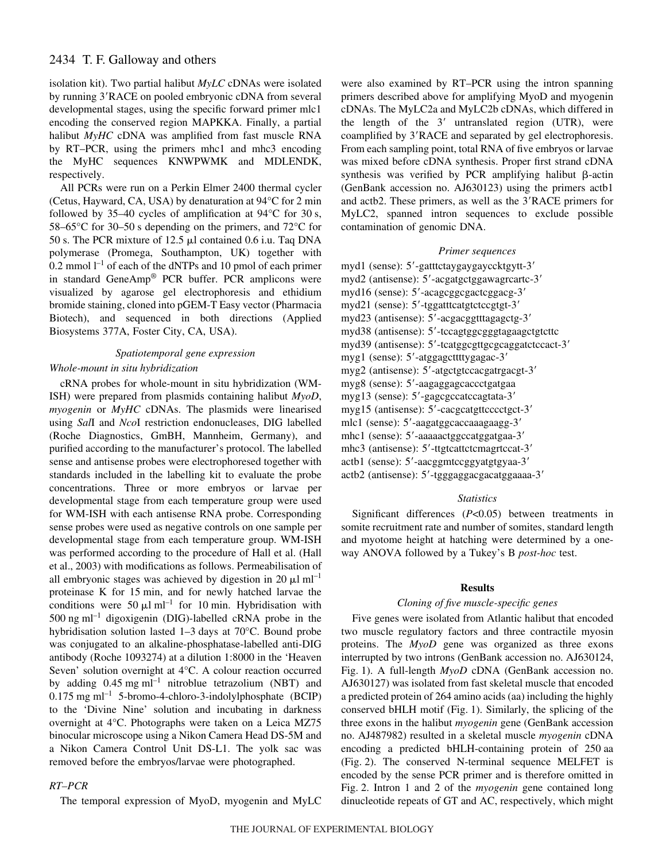isolation kit). Two partial halibut *MyLC* cDNAs were isolated by running 3'RACE on pooled embryonic cDNA from several developmental stages, using the specific forward primer mlc1 encoding the conserved region MAPKKA. Finally, a partial halibut *MyHC* cDNA was amplified from fast muscle RNA by RT–PCR, using the primers mhc1 and mhc3 encoding the MyHC sequences KNWPWMK and MDLENDK, respectively.

All PCRs were run on a Perkin Elmer 2400 thermal cycler (Cetus, Hayward, CA, USA) by denaturation at  $94^{\circ}$ C for 2 min followed by 35–40 cycles of amplification at  $94^{\circ}$ C for 30 s, 58–65°C for 30–50 s depending on the primers, and 72°C for 50 s. The PCR mixture of 12.5  $\mu$ l contained 0.6 i.u. Taq DNA polymerase (Promega, Southampton, UK) together with 0.2 mmol  $l^{-1}$  of each of the dNTPs and 10 pmol of each primer in standard GeneAmp® PCR buffer. PCR amplicons were visualized by agarose gel electrophoresis and ethidium bromide staining, cloned into pGEM-T Easy vector (Pharmacia Biotech), and sequenced in both directions (Applied Biosystems 377A, Foster City, CA, USA).

## *Spatiotemporal gene expression*

### *Whole-mount in situ hybridization*

cRNA probes for whole-mount in situ hybridization (WM-ISH) were prepared from plasmids containing halibut *MyoD*, *myogenin* or *MyHC* cDNAs. The plasmids were linearised using *Sal*I and *Nco*I restriction endonucleases, DIG labelled (Roche Diagnostics, GmBH, Mannheim, Germany), and purified according to the manufacturer's protocol. The labelled sense and antisense probes were electrophoresed together with standards included in the labelling kit to evaluate the probe concentrations. Three or more embryos or larvae per developmental stage from each temperature group were used for WM-ISH with each antisense RNA probe. Corresponding sense probes were used as negative controls on one sample per developmental stage from each temperature group. WM-ISH was performed according to the procedure of Hall et al. (Hall et al., 2003) with modifications as follows. Permeabilisation of all embryonic stages was achieved by digestion in 20  $\mu$ l ml<sup>-1</sup> proteinase K for 15 min, and for newly hatched larvae the conditions were 50  $\mu$ l ml<sup>-1</sup> for 10 min. Hybridisation with  $500$  ng ml<sup>-1</sup> digoxigenin (DIG)-labelled cRNA probe in the hybridisation solution lasted 1-3 days at 70°C. Bound probe was conjugated to an alkaline-phosphatase-labelled anti-DIG antibody (Roche 1093274) at a dilution 1:8000 in the 'Heaven Seven' solution overnight at 4°C. A colour reaction occurred by adding  $0.45$  mg ml<sup>-1</sup> nitroblue tetrazolium (NBT) and  $0.175 \text{ mg ml}^{-1}$  5-bromo-4-chloro-3-indolylphosphate (BCIP) to the 'Divine Nine' solution and incubating in darkness overnight at 4°C. Photographs were taken on a Leica MZ75 binocular microscope using a Nikon Camera Head DS-5M and a Nikon Camera Control Unit DS-L1. The yolk sac was removed before the embryos/larvae were photographed.

## *RT–PCR*

The temporal expression of MyoD, myogenin and MyLC

were also examined by RT–PCR using the intron spanning primers described above for amplifying MyoD and myogenin cDNAs. The MyLC2a and MyLC2b cDNAs, which differed in the length of the  $3'$  untranslated region (UTR), were coamplified by 3'RACE and separated by gel electrophoresis. From each sampling point, total RNA of five embryos or larvae was mixed before cDNA synthesis. Proper first strand cDNA synthesis was verified by PCR amplifying halibut  $\beta$ -actin (GenBank accession no. AJ630123) using the primers actb1 and actb2. These primers, as well as the 3'RACE primers for MyLC2, spanned intron sequences to exclude possible contamination of genomic DNA.

### *Primer sequences*

myd1 (sense): 5'-gatttctaygaygayccktgytt-3' myd2 (antisense): 5'-acgatgctggawagrcartc-3' myd16 (sense): 5'-acagcggcgactcggacg-3' myd21 (sense): 5'-tggatttcatgtctccgtgt-3' myd23 (antisense): 5'-acgacggtttagagctg-3' myd38 (antisense): 5'-tccagtggcgggtagaagctgtcttc myd39 (antisense): 5'-tcatggcgttgcgcaggatctccact-3' myg1 (sense): 5'-atggagcttttygagac-3' myg2 (antisense): 5'-atgctgtccacgatrgacgt-3' myg8 (sense): 5-aagaggagcaccctgatgaa myg13 (sense): 5'-gagcgccatccagtata-3' myg15 (antisense): 5'-cacgcatgttcccctgct-3' mlc1 (sense): 5'-aagatggcaccaaagaagg-3' mhc1 (sense): 5'-aaaaactggccatggatgaa-3' mhc3 (antisense): 5'-ttgtcattctcmagrtccat-3' actb1 (sense): 5'-aacggmtccggyatgtgyaa-3' actb2 (antisense): 5'-tgggaggacgacatggaaaa-3'

#### *Statistics*

Significant differences (*P*<0.05) between treatments in somite recruitment rate and number of somites, standard length and myotome height at hatching were determined by a oneway ANOVA followed by a Tukey's B *post-hoc* test.

#### **Results**

### *Cloning of five muscle-specific genes*

Five genes were isolated from Atlantic halibut that encoded two muscle regulatory factors and three contractile myosin proteins. The *MyoD* gene was organized as three exons interrupted by two introns (GenBank accession no. AJ630124, Fig. 1). A full-length *MyoD* cDNA (GenBank accession no. AJ630127) was isolated from fast skeletal muscle that encoded a predicted protein of 264 amino acids (aa) including the highly conserved bHLH motif (Fig. 1). Similarly, the splicing of the three exons in the halibut *myogenin* gene (GenBank accession no. AJ487982) resulted in a skeletal muscle *myogenin* cDNA encoding a predicted bHLH-containing protein of 250 aa (Fig. 2). The conserved N-terminal sequence MELFET is encoded by the sense PCR primer and is therefore omitted in Fig. 2. Intron 1 and 2 of the *myogenin* gene contained long dinucleotide repeats of GT and AC, respectively, which might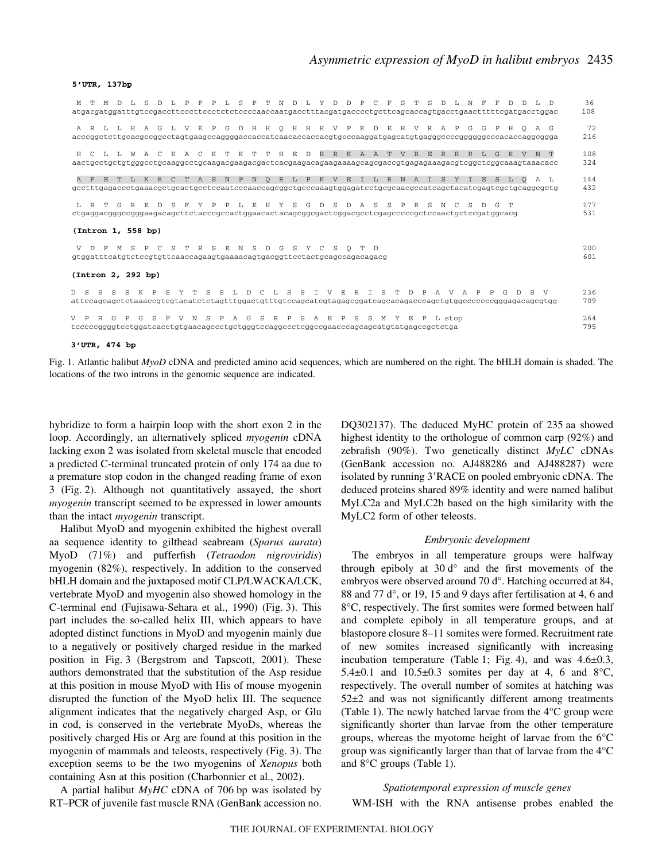#### **5'UTR, 137bp**

| M T M D L S D L P F P L S P T N D L Y D D P C F S T S D L N F F D D L D                                                                                                                     | 36<br>108  |
|---------------------------------------------------------------------------------------------------------------------------------------------------------------------------------------------|------------|
| A R L L H A G L V K P G D H H Q H H H V P K D E H V R A P G G P H Q A G<br>acccggctcttgcacgccggcctagtgaagccaggggaccaccatcaacaccaccacgtgcccaaggatgagcatgtgagggccccggggggcccacaccaggcggga     | 72<br>216  |
| H C L L W A C K A C K T K T T H E D R R K A A T V R E R R R L G K V N T<br>aactgcctgctgtgggcctgcaaggcctgcaagacgaagacgactcacgaagacagaagaaagcagcgaccgtgagagaaagacgtcggctcggcaaagtaaacacc      | 108<br>324 |
| A F E T L K R C T A S N P N Q R L P K V E I L R N A I S Y I E S L Q<br>AL<br>gcctttgagaccctgaaacgctgcactgcctccaatcccaaccagcggctgcccaaagtggagatcctgcgcaacgccatcagctacatcgagtcgctgcaggcgctg   | 144<br>432 |
| L R T G R E D S F Y P P L E H Y S G D S D A S S P<br>R S N C<br>S<br>$\Box$<br>G T<br>ctgaggacgggccgggaagacagcttctacccgccactggaacactacagcggcgactcggacgcctcgagcccccgctccaactgctccgatggcacg   | 177<br>531 |
| (Intron 1, 558 bp)                                                                                                                                                                          |            |
| V D F M S P C S T R S E N S D G S Y C<br>S<br>$O$ $T$ $D$                                                                                                                                   | 200<br>601 |
| (Intron 2, 292 bp)                                                                                                                                                                          |            |
| D S S S S K P S Y T S S L D C L S S I V E R I S T D P A V A P P<br>DS V<br>G<br>attccagcagctctaaaccgtcgtacatctctagtttggactgtttgtccagcatcgtagagcggatcagcacagacccagctgtggccccccgggagacagcgtgg | 236<br>709 |
| R G P G S P V N S P A G S R P S A E P S S M Y E<br>$\mathbb{P}$<br>L stop<br>tcccccggggtcctggatcacctgtgaacagccctgctgggtccaggccctcggccgaacccagcagcatgtatgagccgctctga                         | 264<br>795 |
| $3'$ UTR. $474$ bp.                                                                                                                                                                         |            |

Fig. 1. Atlantic halibut *MyoD* cDNA and predicted amino acid sequences, which are numbered on the right. The bHLH domain is shaded. The locations of the two introns in the genomic sequence are indicated.

hybridize to form a hairpin loop with the short exon 2 in the loop. Accordingly, an alternatively spliced *myogenin* cDNA lacking exon 2 was isolated from skeletal muscle that encoded a predicted C-terminal truncated protein of only 174 aa due to a premature stop codon in the changed reading frame of exon 3 (Fig. 2). Although not quantitatively assayed, the short *myogenin* transcript seemed to be expressed in lower amounts than the intact *myogenin* transcript.

Halibut MyoD and myogenin exhibited the highest overall aa sequence identity to gilthead seabream (*Sparus aurata*) MyoD (71%) and pufferfish (*Tetraodon nigroviridis*) myogenin (82%), respectively. In addition to the conserved bHLH domain and the juxtaposed motif CLP/LWACKA/LCK, vertebrate MyoD and myogenin also showed homology in the C-terminal end (Fujisawa-Sehara et al., 1990) (Fig. 3). This part includes the so-called helix III, which appears to have adopted distinct functions in MyoD and myogenin mainly due to a negatively or positively charged residue in the marked position in Fig. 3 (Bergstrom and Tapscott, 2001). These authors demonstrated that the substitution of the Asp residue at this position in mouse MyoD with His of mouse myogenin disrupted the function of the MyoD helix III. The sequence alignment indicates that the negatively charged Asp, or Glu in cod, is conserved in the vertebrate MyoDs, whereas the positively charged His or Arg are found at this position in the myogenin of mammals and teleosts, respectively (Fig. 3). The exception seems to be the two myogenins of *Xenopus* both containing Asn at this position (Charbonnier et al., 2002).

A partial halibut *MyHC* cDNA of 706 bp was isolated by RT–PCR of juvenile fast muscle RNA (GenBank accession no. DQ302137). The deduced MyHC protein of 235 aa showed highest identity to the orthologue of common carp (92%) and zebrafish (90%). Two genetically distinct *MyLC* cDNAs (GenBank accession no. AJ488286 and AJ488287) were isolated by running 3'RACE on pooled embryonic cDNA. The deduced proteins shared 89% identity and were named halibut MyLC2a and MyLC2b based on the high similarity with the MyLC2 form of other teleosts.

#### *Embryonic development*

The embryos in all temperature groups were halfway through epiboly at  $30\,d^{\circ}$  and the first movements of the embryos were observed around 70 d°. Hatching occurred at 84, 88 and 77 $d^{\circ}$ , or 19, 15 and 9 days after fertilisation at 4, 6 and 8°C, respectively. The first somites were formed between half and complete epiboly in all temperature groups, and at blastopore closure 8–11 somites were formed. Recruitment rate of new somites increased significantly with increasing incubation temperature (Table 1; Fig. 4), and was  $4.6\pm0.3$ , 5.4 $\pm$ 0.1 and 10.5 $\pm$ 0.3 somites per day at 4, 6 and 8°C, respectively. The overall number of somites at hatching was 52±2 and was not significantly different among treatments (Table 1). The newly hatched larvae from the  $4^{\circ}$ C group were significantly shorter than larvae from the other temperature groups, whereas the myotome height of larvae from the 6°C group was significantly larger than that of larvae from the 4°C and  $8^{\circ}$ C groups (Table 1).

#### *Spatiotemporal expression of muscle genes*

WM-ISH with the RNA antisense probes enabled the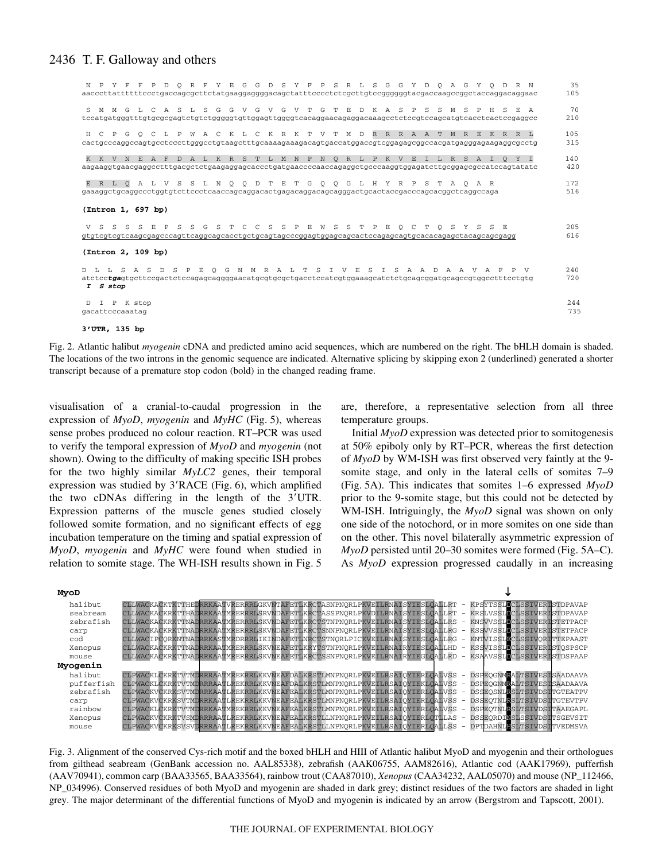| N P Y F F P D O R F Y E G G D S Y F P S R L S G G Y D O A G Y O D R N                                                                                                                           | 35         |
|-------------------------------------------------------------------------------------------------------------------------------------------------------------------------------------------------|------------|
| aacccttattttttccctgaccagcgcttctatgaaggaggggacagctatttcccctctcgcttgtccggggggtacgaccaagccggctaccaggacaggaac                                                                                       | 105        |
| S M M G L C A S L S G G V G V G V T G T E D K A S P S S M S P H S E A                                                                                                                           | 70         |
| tccatgatgggtttgtgcgcgagtctgtctgggggtgttggagttggggtcacaggaacagaggacaaagcctctccgtccagcatgtcacctcactccgaggcc                                                                                       | 210        |
| H C P G O C L P W A C K L C K R K T V T M D R R R A A T M R E K R R L                                                                                                                           | 105        |
|                                                                                                                                                                                                 | 315        |
| K K V N E A F D A L K R S T L M N P N O R L P K V E I L R S A I O Y I                                                                                                                           | 140        |
| aagaaggtgaacgaggcctttgacgctctgaagaggagcaccctgatgaaccccaaccagaggctgcccaaggtggagatcttgcggagcgccatccagtatatc                                                                                       | 420        |
| E R L O A L V S S L N O O D T E T G O O G L H Y R P S T A O A R<br>gaaaggctgcaggccctggtgtcttccctcaaccagcaggacactgagacaggacagcaggactgcactaccgacccagcacggctcaggccaga<br>(Intron 1, 697 bp)        | 172<br>516 |
| V S S S S E P S S G S T C C S S P E W S S T P E Q C T Q S Y S S E<br>gtgtcgtcgtcaagcgagcccagttcaggcagcacctgctgcagtagcccggagtggagcagcactccagagcagtgcacacagagctacagcagcgagg<br>(Intron 2, 109 bp) | 205<br>616 |
| O G N M R A L T S I V E S I S A A D A A V A F P V<br>D L L S A S D S P<br>E<br>I S stop                                                                                                         | 240<br>720 |
| D I P K stop                                                                                                                                                                                    | 244        |
| gacattcccaaatag                                                                                                                                                                                 | 735        |

**3'UTR, 135 bp**

Fig. 2. Atlantic halibut *myogenin* cDNA and predicted amino acid sequences, which are numbered on the right. The bHLH domain is shaded. The locations of the two introns in the genomic sequence are indicated. Alternative splicing by skipping exon 2 (underlined) generated a shorter transcript because of a premature stop codon (bold) in the changed reading frame.

visualisation of a cranial-to-caudal progression in the expression of *MyoD*, *myogenin* and *MyHC* (Fig. 5), whereas sense probes produced no colour reaction. RT–PCR was used to verify the temporal expression of *MyoD* and *myogenin* (not shown). Owing to the difficulty of making specific ISH probes for the two highly similar *MyLC2* genes, their temporal expression was studied by  $3'RACE$  (Fig. 6), which amplified the two cDNAs differing in the length of the 3'UTR. Expression patterns of the muscle genes studied closely followed somite formation, and no significant effects of egg incubation temperature on the timing and spatial expression of *MyoD*, *myogenin* and *MyHC* were found when studied in relation to somite stage. The WH-ISH results shown in Fig. 5

are, therefore, a representative selection from all three temperature groups.

Initial *MyoD* expression was detected prior to somitogenesis at 50% epiboly only by RT–PCR, whereas the first detection of *MyoD* by WM-ISH was first observed very faintly at the 9 somite stage, and only in the lateral cells of somites 7–9 (Fig. 5A). This indicates that somites 1–6 expressed  $My_0D$ prior to the 9-somite stage, but this could not be detected by WM-ISH. Intriguingly, the *MyoD* signal was shown on only one side of the notochord, or in more somites on one side than on the other. This novel bilaterally asymmetric expression of *MyoD* persisted until 20–30 somites were formed (Fig. 5A–C). As *MyoD* expression progressed caudally in an increasing



Fig. 3. Alignment of the conserved Cys-rich motif and the boxed bHLH and HIII of Atlantic halibut MyoD and myogenin and their orthologues from gilthead seabream (GenBank accession no. AAL85338), zebrafish (AAK06755, AAM82616), Atlantic cod (AAK17969), pufferfish (AAV70941), common carp (BAA33565, BAA33564), rainbow trout (CAA87010), *Xenopus* (CAA34232, AAL05070) and mouse (NP\_112466, NP\_034996). Conserved residues of both MyoD and myogenin are shaded in dark grey; distinct residues of the two factors are shaded in light grey. The major determinant of the differential functions of MyoD and myogenin is indicated by an arrow (Bergstrom and Tapscott, 2001).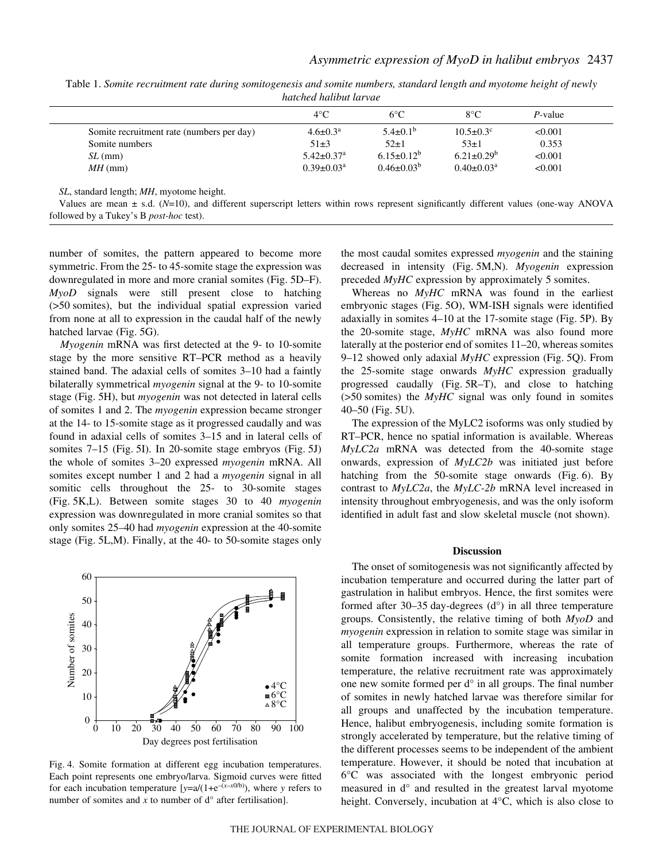Table 1. Somite recruitment rate during somitogenesis and somite numbers, standard length and myotome height of newly *hatched halibut larvae*

|                                           | $4^{\circ}$ C                | $6^{\circ}C$      | $8^{\circ}$ C               | P-value |
|-------------------------------------------|------------------------------|-------------------|-----------------------------|---------|
| Somite recruitment rate (numbers per day) | $4.6 \pm 0.3^{\text{a}}$     | $5.4\pm0.1^{b}$   | $10.5 \pm 0.3$ <sup>c</sup> | < 0.001 |
| Somite numbers                            | $51\pm3$                     | $52\pm1$          | $53\pm1$                    | 0.353   |
| $SL$ (mm)                                 | $5.42 \pm 0.37$ <sup>a</sup> | $6.15 \pm 0.12^b$ | $6.21 \pm 0.29^b$           | < 0.001 |
| $MH$ (mm)                                 | $0.39 \pm 0.03^a$            | $0.46 \pm 0.03^b$ | $0.40 \pm 0.03^a$           | < 0.001 |

*SL*, standard length; *MH*, myotome height.

Values are mean ± s.d. (*N*=10), and different superscript letters within rows represent significantly different values (one-way ANOVA followed by a Tukey's B *post-hoc* test).

number of somites, the pattern appeared to become more symmetric. From the 25- to 45-somite stage the expression was downregulated in more and more cranial somites (Fig. 5D–F). *MyoD* signals were still present close to hatching  $($ >50 somites), but the individual spatial expression varied from none at all to expression in the caudal half of the newly hatched larvae (Fig. 5G).

*Myogenin* mRNA was first detected at the 9- to 10-somite stage by the more sensitive RT–PCR method as a heavily stained band. The adaxial cells of somites 3–10 had a faintly bilaterally symmetrical *myogenin* signal at the 9- to 10-somite stage (Fig. 5H), but *myogenin* was not detected in lateral cells of somites 1 and 2. The *myogenin* expression became stronger at the 14- to 15-somite stage as it progressed caudally and was found in adaxial cells of somites 3–15 and in lateral cells of somites  $7-15$  (Fig. 5I). In 20-somite stage embryos (Fig. 5J) the whole of somites 3–20 expressed *myogenin* mRNA. All somites except number 1 and 2 had a *myogenin* signal in all somitic cells throughout the 25- to 30-somite stages (Fig. 5K,L). Between somite stages 30 to 40 *myogenin* expression was downregulated in more cranial somites so that only somites 25–40 had *myogenin* expression at the 40-somite stage (Fig. 5L,M). Finally, at the 40- to 50-somite stages only



Fig. 4. Somite formation at different egg incubation temperatures. Each point represents one embryo/larva. Sigmoid curves were fitted for each incubation temperature  $[y=a/(1+e^{-(x-x0/b)})$ , where *y* refers to number of somites and  $x$  to number of  $d^{\circ}$  after fertilisation].

the most caudal somites expressed *myogenin* and the staining decreased in intensity (Fig. 5M,N). *Myogenin* expression preceded *MyHC* expression by approximately 5 somites.

Whereas no *MyHC* mRNA was found in the earliest embryonic stages (Fig. 5O), WM-ISH signals were identified adaxially in somites  $4-10$  at the 17-somite stage (Fig. 5P). By the 20-somite stage, *MyHC* mRNA was also found more laterally at the posterior end of somites 11–20, whereas somites 9–12 showed only adaxial *MyHC* expression (Fig. 5Q). From the 25-somite stage onwards *MyHC* expression gradually progressed caudally (Fig.  $5R-T$ ), and close to hatching  $($ >50 somites) the *MyHC* signal was only found in somites  $40-50$  (Fig.  $5U$ ).

The expression of the MyLC2 isoforms was only studied by RT–PCR, hence no spatial information is available. Whereas *MyLC2a* mRNA was detected from the 40-somite stage onwards, expression of *MyLC2b* was initiated just before hatching from the 50-somite stage onwards (Fig.  $6$ ). By contrast to *MyLC2a*, the *MyLC-2b* mRNA level increased in intensity throughout embryogenesis, and was the only isoform identified in adult fast and slow skeletal muscle (not shown).

#### **Discussion**

The onset of somitogenesis was not significantly affected by incubation temperature and occurred during the latter part of gastrulation in halibut embryos. Hence, the first somites were formed after 30–35 day-degrees  $(d<sup>o</sup>)$  in all three temperature groups. Consistently, the relative timing of both *MyoD* and *myogenin* expression in relation to somite stage was similar in all temperature groups. Furthermore, whereas the rate of somite formation increased with increasing incubation temperature, the relative recruitment rate was approximately one new somite formed per d° in all groups. The final number of somites in newly hatched larvae was therefore similar for all groups and unaffected by the incubation temperature. Hence, halibut embryogenesis, including somite formation is strongly accelerated by temperature, but the relative timing of the different processes seems to be independent of the ambient temperature. However, it should be noted that incubation at 6°C was associated with the longest embryonic period measured in d° and resulted in the greatest larval myotome height. Conversely, incubation at 4°C, which is also close to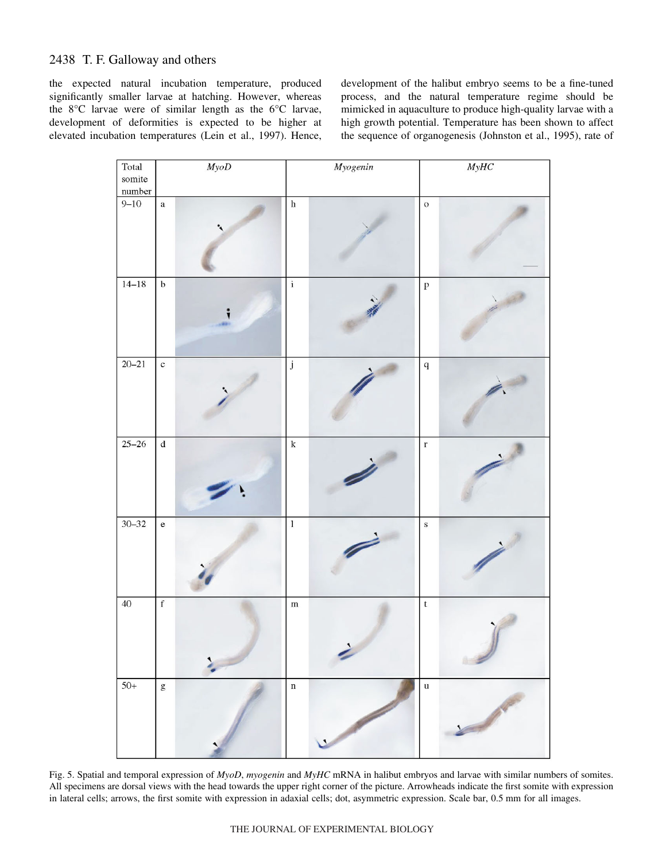the expected natural incubation temperature, produced significantly smaller larvae at hatching. However, whereas the 8°C larvae were of similar length as the 6°C larvae, development of deformities is expected to be higher at elevated incubation temperatures (Lein et al., 1997). Hence, development of the halibut embryo seems to be a fine-tuned process, and the natural temperature regime should be mimicked in aquaculture to produce high-quality larvae with a high growth potential. Temperature has been shown to affect the sequence of organogenesis (Johnston et al., 1995), rate of



Fig. 5. Spatial and temporal expression of *MyoD, myogenin* and *MyHC* mRNA in halibut embryos and larvae with similar numbers of somites. All specimens are dorsal views with the head towards the upper right corner of the picture. Arrowheads indicate the first somite with expression in lateral cells; arrows, the first somite with expression in adaxial cells; dot, asymmetric expression. Scale bar, 0.5 mm for all images.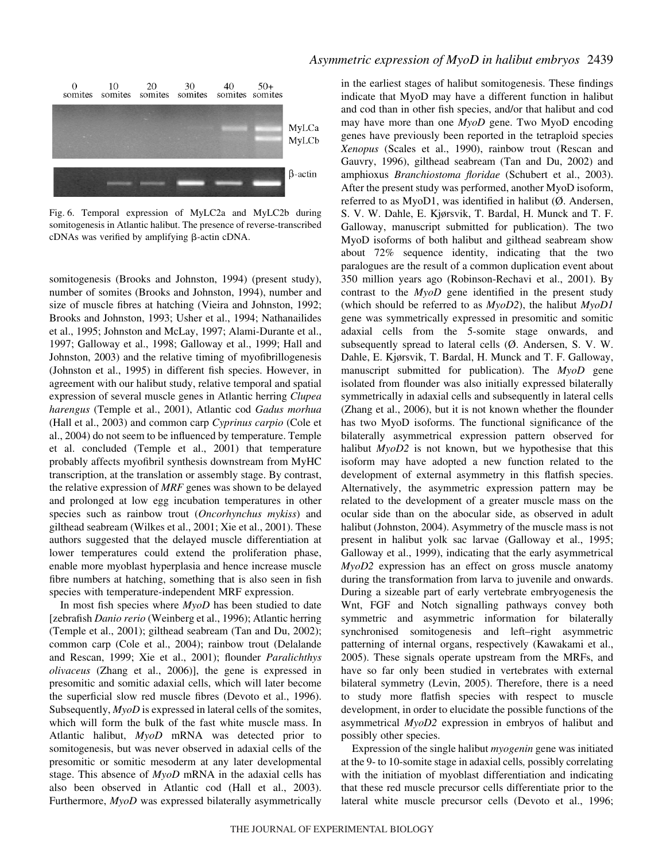

Fig. 6. Temporal expression of MyLC2a and MyLC2b during somitogenesis in Atlantic halibut. The presence of reverse-transcribed  $c$ DNAs was verified by amplifying  $\beta$ -actin  $c$ DNA.

somitogenesis (Brooks and Johnston, 1994) (present study), number of somites (Brooks and Johnston, 1994), number and size of muscle fibres at hatching (Vieira and Johnston, 1992; Brooks and Johnston, 1993; Usher et al., 1994; Nathanailides et al., 1995; Johnston and McLay, 1997; Alami-Durante et al., 1997; Galloway et al., 1998; Galloway et al., 1999; Hall and Johnston, 2003) and the relative timing of myofibrillogenesis (Johnston et al., 1995) in different fish species. However, in agreement with our halibut study, relative temporal and spatial expression of several muscle genes in Atlantic herring *Clupea harengus* (Temple et al., 2001), Atlantic cod *Gadus morhua* (Hall et al., 2003) and common carp *Cyprinus carpio* (Cole et al., 2004) do not seem to be influenced by temperature. Temple et al. concluded (Temple et al., 2001) that temperature probably affects myofibril synthesis downstream from MyHC transcription, at the translation or assembly stage. By contrast, the relative expression of *MRF* genes was shown to be delayed and prolonged at low egg incubation temperatures in other species such as rainbow trout (*Oncorhynchus mykiss*) and gilthead seabream (Wilkes et al., 2001; Xie et al., 2001). These authors suggested that the delayed muscle differentiation at lower temperatures could extend the proliferation phase, enable more myoblast hyperplasia and hence increase muscle fibre numbers at hatching, something that is also seen in fish species with temperature-independent MRF expression.

In most fish species where *MyoD* has been studied to date [zebrafish *Danio rerio* (Weinberg et al., 1996); Atlantic herring (Temple et al., 2001); gilthead seabream (Tan and Du, 2002); common carp (Cole et al., 2004); rainbow trout (Delalande and Rescan, 1999; Xie et al., 2001); flounder *Paralichthys olivaceus* (Zhang et al., 2006)], the gene is expressed in presomitic and somitic adaxial cells, which will later become the superficial slow red muscle fibres (Devoto et al., 1996). Subsequently, *MyoD* is expressed in lateral cells of the somites, which will form the bulk of the fast white muscle mass. In Atlantic halibut, *MyoD* mRNA was detected prior to somitogenesis, but was never observed in adaxial cells of the presomitic or somitic mesoderm at any later developmental stage. This absence of *MyoD* mRNA in the adaxial cells has also been observed in Atlantic cod (Hall et al., 2003). Furthermore, *MyoD* was expressed bilaterally asymmetrically

### *Asymmetric expression of MyoD in halibut embryos* 2439

in the earliest stages of halibut somitogenesis. These findings indicate that MyoD may have a different function in halibut and cod than in other fish species, and/or that halibut and cod may have more than one *MyoD* gene. Two MyoD encoding genes have previously been reported in the tetraploid species *Xenopus* (Scales et al., 1990), rainbow trout (Rescan and Gauvry, 1996), gilthead seabream (Tan and Du, 2002) and amphioxus *Branchiostoma floridae* (Schubert et al., 2003). After the present study was performed, another MyoD isoform, referred to as MyoD1, was identified in halibut (Ø. Andersen, S. V. W. Dahle, E. Kjørsvik, T. Bardal, H. Munck and T. F. Galloway, manuscript submitted for publication). The two MyoD isoforms of both halibut and gilthead seabream show about 72% sequence identity, indicating that the two paralogues are the result of a common duplication event about 350 million years ago (Robinson-Rechavi et al., 2001). By contrast to the *MyoD* gene identified in the present study (which should be referred to as *MyoD2*), the halibut *MyoD1* gene was symmetrically expressed in presomitic and somitic adaxial cells from the 5-somite stage onwards, and subsequently spread to lateral cells (Ø. Andersen, S. V. W. Dahle, E. Kjørsvik, T. Bardal, H. Munck and T. F. Galloway, manuscript submitted for publication). The *MyoD* gene isolated from flounder was also initially expressed bilaterally symmetrically in adaxial cells and subsequently in lateral cells (Zhang et al., 2006), but it is not known whether the flounder has two MyoD isoforms. The functional significance of the bilaterally asymmetrical expression pattern observed for halibut *MyoD2* is not known, but we hypothesise that this isoform may have adopted a new function related to the development of external asymmetry in this flatfish species. Alternatively, the asymmetric expression pattern may be related to the development of a greater muscle mass on the ocular side than on the abocular side, as observed in adult halibut (Johnston, 2004). Asymmetry of the muscle mass is not present in halibut yolk sac larvae (Galloway et al., 1995; Galloway et al., 1999), indicating that the early asymmetrical *MyoD2* expression has an effect on gross muscle anatomy during the transformation from larva to juvenile and onwards. During a sizeable part of early vertebrate embryogenesis the Wnt, FGF and Notch signalling pathways convey both symmetric and asymmetric information for bilaterally synchronised somitogenesis and left–right asymmetric patterning of internal organs, respectively (Kawakami et al., 2005). These signals operate upstream from the MRFs, and have so far only been studied in vertebrates with external bilateral symmetry (Levin, 2005). Therefore, there is a need to study more flatfish species with respect to muscle development, in order to elucidate the possible functions of the asymmetrical *MyoD2* expression in embryos of halibut and possibly other species.

Expression of the single halibut *myogenin* gene was initiated at the 9- to 10-somite stage in adaxial cells*,* possibly correlating with the initiation of myoblast differentiation and indicating that these red muscle precursor cells differentiate prior to the lateral white muscle precursor cells (Devoto et al., 1996;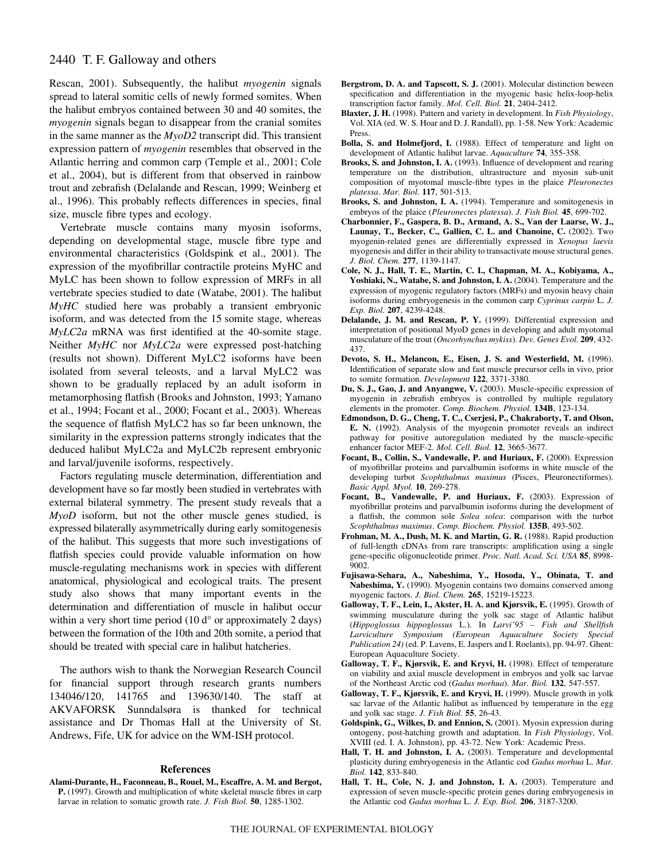Rescan, 2001). Subsequently, the halibut *myogenin* signals spread to lateral somitic cells of newly formed somites. When the halibut embryos contained between 30 and 40 somites, the *myogenin* signals began to disappear from the cranial somites in the same manner as the *MyoD2* transcript did. This transient expression pattern of *myogenin* resembles that observed in the Atlantic herring and common carp (Temple et al., 2001; Cole et al., 2004), but is different from that observed in rainbow trout and zebrafish (Delalande and Rescan, 1999; Weinberg et al., 1996). This probably reflects differences in species, final size, muscle fibre types and ecology.

Vertebrate muscle contains many myosin isoforms, depending on developmental stage, muscle fibre type and environmental characteristics (Goldspink et al., 2001). The expression of the myofibrillar contractile proteins MyHC and MyLC has been shown to follow expression of MRFs in all vertebrate species studied to date (Watabe, 2001). The halibut *MyHC* studied here was probably a transient embryonic isoform, and was detected from the 15 somite stage, whereas *MyLC2a* mRNA was first identified at the 40-somite stage. Neither *MyHC* nor *MyLC2a* were expressed post-hatching (results not shown). Different MyLC2 isoforms have been isolated from several teleosts, and a larval MyLC2 was shown to be gradually replaced by an adult isoform in metamorphosing flatfish (Brooks and Johnston, 1993; Yamano et al., 1994; Focant et al., 2000; Focant et al., 2003). Whereas the sequence of flatfish MyLC2 has so far been unknown, the similarity in the expression patterns strongly indicates that the deduced halibut MyLC2a and MyLC2b represent embryonic and larval/juvenile isoforms, respectively.

Factors regulating muscle determination, differentiation and development have so far mostly been studied in vertebrates with external bilateral symmetry. The present study reveals that a *MyoD* isoform, but not the other muscle genes studied, is expressed bilaterally asymmetrically during early somitogenesis of the halibut. This suggests that more such investigations of flatfish species could provide valuable information on how muscle-regulating mechanisms work in species with different anatomical, physiological and ecological traits. The present study also shows that many important events in the determination and differentiation of muscle in halibut occur within a very short time period  $(10\,d^{\circ}$  or approximately 2 days) between the formation of the 10th and 20th somite, a period that should be treated with special care in halibut hatcheries.

The authors wish to thank the Norwegian Research Council for financial support through research grants numbers 134046/120, 141765 and 139630/140. The staff at AKVAFORSK Sunndalsøra is thanked for technical assistance and Dr Thomas Hall at the University of St. Andrews, Fife, UK for advice on the WM-ISH protocol.

#### **References**

**Alami-Durante, H., Faconneau, B., Rouel, M., Escaffre, A. M. and Bergot, P.** (1997). Growth and multiplication of white skeletal muscle fibres in carp larvae in relation to somatic growth rate. *J. Fish Biol.* **50**, 1285-1302.

- **Bergstrom, D. A. and Tapscott, S. J.** (2001). Molecular distinction beween specification and differentiation in the myogenic basic helix-loop-helix transcription factor family. *Mol. Cell. Biol.* **21**, 2404-2412.
- **Blaxter, J. H.** (1998). Pattern and variety in development. In *Fish Physiology*, Vol. XIA (ed. W. S. Hoar and D. J. Randall), pp. 1-58. New York: Academic Press.
- **Bolla, S. and Holmefjord, I.** (1988). Effect of temperature and light on development of Atlantic halibut larvae. *Aquaculture* **74**, 355-358.
- **Brooks, S. and Johnston, I. A.** (1993). Influence of development and rearing temperature on the distribution, ultrastructure and myosin sub-unit composition of myotomal muscle-fibre types in the plaice *Pleuronectes platessa*. *Mar. Biol.* **117**, 501-513.
- **Brooks, S. and Johnston, I. A.** (1994). Temperature and somitogenesis in embryos of the plaice (*Pleuronectes platessa*). *J. Fish Biol.* **45**, 699-702.
- **Charbonnier, F., Gaspera, B. D., Armand, A. S., Van der Laarse, W. J., Launay, T., Becker, C., Gallien, C. L. and Chanoine, C.** (2002). Two myogenin-related genes are differentially expressed in *Xenopus laevis* myogenesis and differ in their ability to transactivate mouse structural genes. *J. Biol. Chem.* **277**, 1139-1147.
- **Cole, N. J., Hall, T. E., Martin, C. I., Chapman, M. A., Kobiyama, A., Yoshiaki, N., Watabe, S. and Johnston, I. A.** (2004). Temperature and the expression of myogenic regulatory factors (MRFs) and myosin heavy chain isoforms during embryogenesis in the common carp *Cyprinus carpio* L. *J. Exp. Biol.* **207**, 4239-4248.
- **Delalande, J. M. and Rescan, P. Y.** (1999). Differential expression and interpretation of positional MyoD genes in developing and adult myotomal musculature of the trout (*Oncorhynchus mykiss*). *Dev. Genes Evol.* **209**, 432- 437.
- **Devoto, S. H., Melancon, E., Eisen, J. S. and Westerfield, M.** (1996). Identification of separate slow and fast muscle precursor cells in vivo, prior to somite formation. *Development* **122**, 3371-3380.
- **Du, S. J., Gao, J. and Anyangwe, V.** (2003). Muscle-specific expression of myogenin in zebrafish embryos is controlled by multiple regulatory elements in the promoter. *Comp. Biochem. Physiol.* **134B**, 123-134.
- **Edmondson, D. G., Cheng, T. C., Cserjesi, P., Chakraborty, T. and Olson, E. N.** (1992). Analysis of the myogenin promoter reveals an indirect pathway for positive autoregulation mediated by the muscle-specific enhancer factor MEF-2. *Mol. Cell. Biol.* **12**, 3665-3677.
- **Focant, B., Collin, S., Vandewalle, P. and Huriaux, F.** (2000). Expression of myofibrillar proteins and parvalbumin isoforms in white muscle of the developing turbot *Scophthalmus maximus* (Pisces, Pleuronectiformes). *Basic Appl. Myol.* **10**, 269-278.
- **Focant, B., Vandewalle, P. and Huriaux, F.** (2003). Expression of myofibrillar proteins and parvalbumin isoforms during the development of a flatfish, the common sole *Solea solea*: comparison with the turbot *Scophthalmus maximus*. *Comp. Biochem. Physiol.* **135B**, 493-502.
- **Frohman, M. A., Dush, M. K. and Martin, G. R.** (1988). Rapid production of full-length cDNAs from rare transcripts: amplification using a single gene-specific oligonucleotide primer. *Proc. Natl. Acad. Sci. USA* **85**, 8998- 9002.
- **Fujisawa-Sehara, A., Nabeshima, Y., Hosoda, Y., Obinata, T. and Nabeshima, Y.** (1990). Myogenin contains two domains conserved among myogenic factors. *J. Biol. Chem.* **265**, 15219-15223.
- **Galloway, T. F., Lein, I., Akster, H. A. and Kjørsvik, E.** (1995). Growth of swimming musculature during the yolk sac stage of Atlantic halibut (*Hippoglossus hippoglossus* L.). In *Larvi'95 – Fish and Shellfish Larviculture Symposium (European Aquaculture Society Special Publication 24)* (ed. P. Lavens, E. Jaspers and I. Roelants), pp. 94-97. Ghent: European Aquaculture Society.
- **Galloway, T. F., Kjørsvik, E. and Kryvi, H.** (1998). Effect of temperature on viability and axial muscle development in embryos and yolk sac larvae of the Northeast Arctic cod (*Gadus morhua*). *Mar. Biol.* **132**, 547-557.
- **Galloway, T. F., Kjørsvik, E. and Kryvi, H.** (1999). Muscle growth in yolk sac larvae of the Atlantic halibut as influenced by temperature in the egg and yolk sac stage. *J. Fish Biol.* **55**, 26-43.
- **Goldspink, G., Wilkes, D. and Ennion, S.** (2001). Myosin expression during ontogeny, post-hatching growth and adaptation. In *Fish Physiology*, Vol. XVIII (ed. I. A. Johnston), pp. 43-72. New York: Academic Press.
- **Hall, T. H. and Johnston, I. A.** (2003). Temperature and developmental plasticity during embryogenesis in the Atlantic cod *Gadus morhua* L. *Mar. Biol.* **142**, 833-840.
- **Hall, T. H., Cole, N. J. and Johnston, I. A.** (2003). Temperature and expression of seven muscle-specific protein genes during embryogenesis in the Atlantic cod *Gadus morhua* L. *J. Exp. Biol.* **206**, 3187-3200.